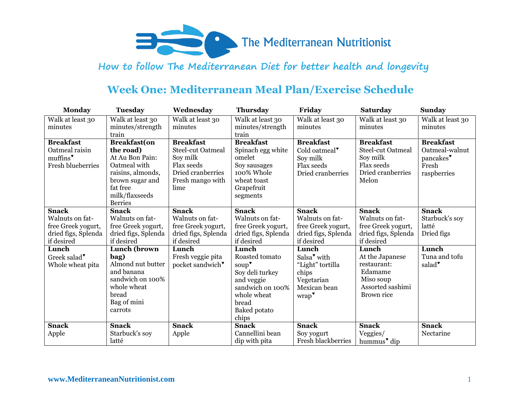

# **Week One: Mediterranean Meal Plan/Exercise Schedule**

| <b>Monday</b>            | <b>Tuesday</b>                   | Wednesday                | <b>Thursday</b>     | Friday                    | <b>Saturday</b>          | <b>Sunday</b>         |
|--------------------------|----------------------------------|--------------------------|---------------------|---------------------------|--------------------------|-----------------------|
| Walk at least 30         | Walk at least 30                 | Walk at least 30         | Walk at least 30    | Walk at least 30          | Walk at least 30         | Walk at least 30      |
| minutes                  | minutes/strength                 | minutes                  | minutes/strength    | minutes                   | minutes                  | minutes               |
|                          | train                            |                          | train               |                           |                          |                       |
| <b>Breakfast</b>         | <b>Breakfast(on</b>              | <b>Breakfast</b>         | <b>Breakfast</b>    | <b>Breakfast</b>          | <b>Breakfast</b>         | <b>Breakfast</b>      |
| Oatmeal raisin           | the road)                        | <b>Steel-cut Oatmeal</b> | Spinach egg white   | Cold oatmeal*             | <b>Steel-cut Oatmeal</b> | Oatmeal-walnut        |
| muffins <sup>*</sup>     | At Au Bon Pain:                  | Soy milk                 | omelet              | Soy milk                  | Soy milk                 | pancakes <sup>*</sup> |
| <b>Fresh blueberries</b> | Oatmeal with                     | Flax seeds               | Soy sausages        | Flax seeds                | Flax seeds               | Fresh                 |
|                          | raisins, almonds,                | Dried cranberries        | 100% Whole          | Dried cranberries         | Dried cranberries        | raspberries           |
|                          | brown sugar and                  | Fresh mango with         | wheat toast         |                           | Melon                    |                       |
|                          | fat free                         | lime                     | Grapefruit          |                           |                          |                       |
|                          | milk/flaxseeds<br><b>Berries</b> |                          | segments            |                           |                          |                       |
| Snack                    | <b>Snack</b>                     | <b>Snack</b>             | <b>Snack</b>        | <b>Snack</b>              | <b>Snack</b>             | <b>Snack</b>          |
| Walnuts on fat-          | Walnuts on fat-                  | Walnuts on fat-          | Walnuts on fat-     | Walnuts on fat-           | Walnuts on fat-          | Starbuck's soy        |
| free Greek yogurt,       | free Greek yogurt,               | free Greek yogurt,       | free Greek yogurt,  | free Greek yogurt,        | free Greek yogurt,       | latté                 |
| dried figs, Splenda      | dried figs, Splenda              | dried figs, Splenda      | dried figs, Splenda | dried figs, Splenda       | dried figs, Splenda      | Dried figs            |
| if desired               | if desired                       | if desired               | if desired          | if desired                | if desired               |                       |
| Lunch                    | Lunch (brown                     | Lunch                    | Lunch               | Lunch                     | Lunch                    | Lunch                 |
| Greek salad*             | bag)                             | Fresh veggie pita        | Roasted tomato      | Salsa <sup>v</sup> with   | At the Japanese          | Tuna and tofu         |
| Whole wheat pita         | Almond nut butter                | pocket sandwich*         | soup <sup>*</sup>   | "Light" tortilla          | restaurant:              | salad <sup>*</sup>    |
|                          | and banana                       |                          | Soy deli turkey     | chips                     | Edamame                  |                       |
|                          | sandwich on 100%                 |                          | and veggie          | Vegetarian                | Miso soup                |                       |
|                          | whole wheat                      |                          | sandwich on 100%    | Mexican bean              | Assorted sashimi         |                       |
|                          | bread                            |                          | whole wheat         | wrap'                     | Brown rice               |                       |
|                          | Bag of mini                      |                          | bread               |                           |                          |                       |
|                          | carrots                          |                          | <b>Baked</b> potato |                           |                          |                       |
|                          |                                  |                          | chips               |                           |                          |                       |
| <b>Snack</b>             | <b>Snack</b>                     | <b>Snack</b>             | <b>Snack</b>        | <b>Snack</b>              | <b>Snack</b>             | <b>Snack</b>          |
| Apple                    | Starbuck's soy                   | Apple                    | Cannellini bean     | Soy yogurt                | Veggies/                 | Nectarine             |
|                          | latté                            |                          | dip with pita       | <b>Fresh blackberries</b> | hummus <sup>*</sup> dip  |                       |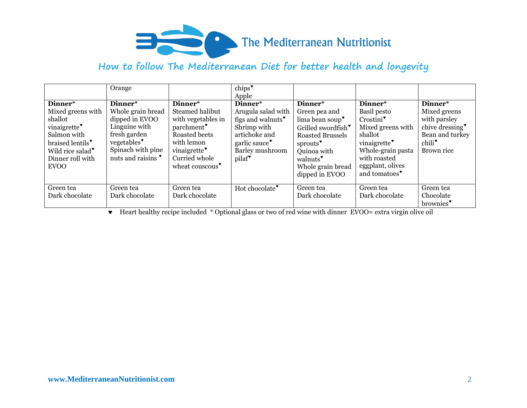

|                                                                                                                                                                           | Orange                                                                                                                                                |                                                                                                                                                                          | chips <sup>*</sup><br>Apple                                                                                                                                          |                                                                                                                                                                                                                            |                                                                                                                                                                         |                                                                                                                  |
|---------------------------------------------------------------------------------------------------------------------------------------------------------------------------|-------------------------------------------------------------------------------------------------------------------------------------------------------|--------------------------------------------------------------------------------------------------------------------------------------------------------------------------|----------------------------------------------------------------------------------------------------------------------------------------------------------------------|----------------------------------------------------------------------------------------------------------------------------------------------------------------------------------------------------------------------------|-------------------------------------------------------------------------------------------------------------------------------------------------------------------------|------------------------------------------------------------------------------------------------------------------|
| Dinner*<br>Mixed greens with<br>shallot<br>vinaigrette <sup>*</sup><br>Salmon with<br>braised lentils*<br>Wild rice salad <sup>*</sup><br>Dinner roll with<br><b>EVOO</b> | Dinner*<br>Whole grain bread<br>dipped in EVOO<br>Linguine with<br>fresh garden<br>vegetables <sup>*</sup><br>Spinach with pine<br>nuts and raisins * | Dinner*<br>Steamed halibut<br>with vegetables in<br>parchment <sup>*</sup><br>Roasted beets<br>with lemon<br>vinaigrette <sup>*</sup><br>Curried whole<br>wheat couscous | Dinner*<br>Arugula salad with<br>figs and walnuts <sup>*</sup><br>Shrimp with<br>artichoke and<br>garlic sauce <sup>*</sup><br>Barley mushroom<br>pilaf <sup>*</sup> | Dinner*<br>Green pea and<br>lima bean soup <sup>*</sup><br>Grilled swordfish <sup>*</sup><br><b>Roasted Brussels</b><br>sprouts <sup>*</sup><br>Quinoa with<br>walnuts <sup>*</sup><br>Whole grain bread<br>dipped in EVOO | Dinner*<br>Basil pesto<br>Crostini <sup>*</sup><br>Mixed greens with<br>shallot<br>vinaigrette<br>Whole-grain pasta<br>with roasted<br>eggplant, olives<br>and tomatoes | Dinner*<br>Mixed greens<br>with parsley<br>chive dressing<br>Bean and turkey<br>chili <sup>*</sup><br>Brown rice |
| Green tea<br>Dark chocolate                                                                                                                                               | Green tea<br>Dark chocolate                                                                                                                           | Green tea<br>Dark chocolate                                                                                                                                              | Hot chocolate <sup>*</sup>                                                                                                                                           | Green tea<br>Dark chocolate                                                                                                                                                                                                | Green tea<br>Dark chocolate                                                                                                                                             | Green tea<br>Chocolate<br>brownies'                                                                              |

Heart healthy recipe included \* Optional glass or two of red wine with dinner EVOO= extra virgin olive oil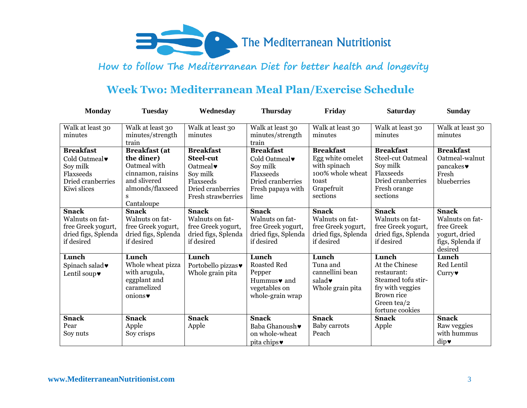

# **Week Two: Mediterranean Meal Plan/Exercise Schedule**

| <b>Monday</b>                                                                                 | <b>Tuesday</b>                                                                                                                 | Wednesday                                                                                                                                | <b>Thursday</b>                                                                                             | Friday                                                                                                      | <b>Saturday</b>                                                                                                                  | <b>Sunday</b>                                                                                 |
|-----------------------------------------------------------------------------------------------|--------------------------------------------------------------------------------------------------------------------------------|------------------------------------------------------------------------------------------------------------------------------------------|-------------------------------------------------------------------------------------------------------------|-------------------------------------------------------------------------------------------------------------|----------------------------------------------------------------------------------------------------------------------------------|-----------------------------------------------------------------------------------------------|
| Walk at least 30<br>minutes                                                                   | Walk at least 30<br>minutes/strength<br>train                                                                                  | Walk at least 30<br>minutes                                                                                                              | Walk at least 30<br>minutes/strength<br>train                                                               | Walk at least 30<br>minutes                                                                                 | Walk at least 30<br>minutes                                                                                                      | Walk at least 30<br>minutes                                                                   |
| <b>Breakfast</b><br>Cold Oatmeal<br>Soy milk<br>Flaxseeds<br>Dried cranberries<br>Kiwi slices | <b>Breakfast</b> (at<br>the diner)<br>Oatmeal with<br>cinnamon, raisins<br>and slivered<br>almonds/flaxseed<br>S<br>Cantaloupe | <b>Breakfast</b><br><b>Steel-cut</b><br>Oatmeal $\blacktriangledown$<br>Soy milk<br>Flaxseeds<br>Dried cranberries<br>Fresh strawberries | <b>Breakfast</b><br>Cold Oatmeal<br>Soy milk<br>Flaxseeds<br>Dried cranberries<br>Fresh papaya with<br>lime | <b>Breakfast</b><br>Egg white omelet<br>with spinach<br>100% whole wheat<br>toast<br>Grapefruit<br>sections | <b>Breakfast</b><br><b>Steel-cut Oatmeal</b><br>Soy milk<br>Flaxseeds<br>Dried cranberries<br>Fresh orange<br>sections           | <b>Breakfast</b><br>Oatmeal-walnut<br>pancakes<br>Fresh<br>blueberries                        |
| <b>Snack</b><br>Walnuts on fat-<br>free Greek yogurt,<br>dried figs, Splenda<br>if desired    | <b>Snack</b><br>Walnuts on fat-<br>free Greek yogurt,<br>dried figs, Splenda<br>if desired                                     | <b>Snack</b><br>Walnuts on fat-<br>free Greek yogurt,<br>dried figs, Splenda<br>if desired                                               | <b>Snack</b><br>Walnuts on fat-<br>free Greek yogurt,<br>dried figs, Splenda<br>if desired                  | <b>Snack</b><br>Walnuts on fat-<br>free Greek yogurt,<br>dried figs, Splenda<br>if desired                  | <b>Snack</b><br>Walnuts on fat-<br>free Greek yogurt,<br>dried figs, Splenda<br>if desired                                       | <b>Snack</b><br>Walnuts on fat-<br>free Greek<br>yogurt, dried<br>figs, Splenda if<br>desired |
| Lunch<br>Spinach salad<br>Lentil soup $\blacktriangledown$                                    | Lunch<br>Whole wheat pizza<br>with arugula,<br>eggplant and<br>caramelized<br>onions                                           | Lunch<br>Portobello pizzas<br>Whole grain pita                                                                                           | Lunch<br><b>Roasted Red</b><br>Pepper<br>Hummus $\bullet$ and<br>vegetables on<br>whole-grain wrap          | Lunch<br>Tuna and<br>cannellini bean<br>salad $\bullet$<br>Whole grain pita                                 | Lunch<br>At the Chinese<br>restaurant:<br>Steamed tofu stir-<br>fry with veggies<br>Brown rice<br>Green tea/2<br>fortune cookies | Lunch<br>Red Lentil<br>$Curry\blacktriangleright$                                             |
| <b>Snack</b><br>Pear<br>Soy nuts                                                              | <b>Snack</b><br>Apple<br>Soy crisps                                                                                            | <b>Snack</b><br>Apple                                                                                                                    | <b>Snack</b><br>Baba Ghanoush<br>on whole-wheat<br>pita chips $\bullet$                                     | <b>Snack</b><br>Baby carrots<br>Peach                                                                       | <b>Snack</b><br>Apple                                                                                                            | <b>Snack</b><br>Raw veggies<br>with hummus<br>dip                                             |